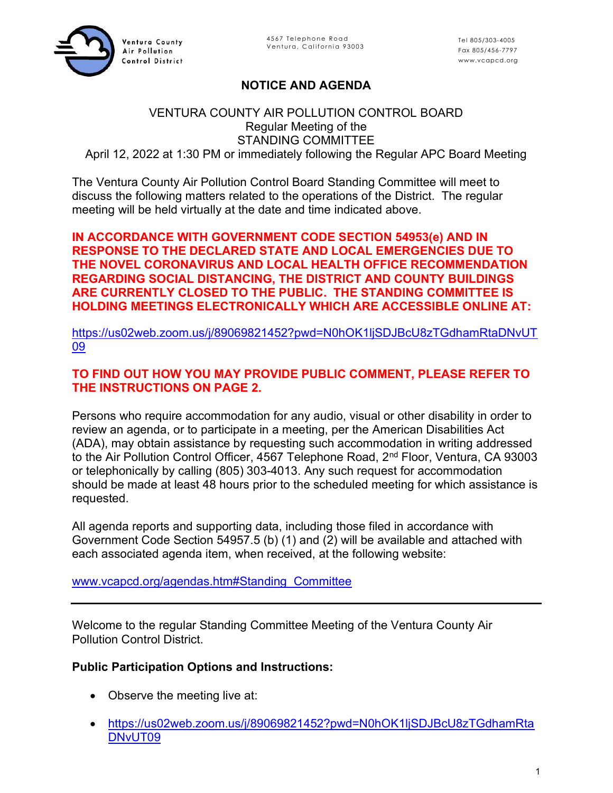

# NOTICE AND AGENDA

### VENTURA COUNTY AIR POLLUTION CONTROL BOARD Regular Meeting of the STANDING COMMITTEE April 12, 2022 at 1:30 PM or immediately following the Regular APC Board Meeting

The Ventura County Air Pollution Control Board Standing Committee will meet to discuss the following matters related to the operations of the District. The regular meeting will be held virtually at the date and time indicated above.

### IN ACCORDANCE WITH GOVERNMENT CODE SECTION 54953(e) AND IN RESPONSE TO THE DECLARED STATE AND LOCAL EMERGENCIES DUE TO THE NOVEL CORONAVIRUS AND LOCAL HEALTH OFFICE RECOMMENDATION REGARDING SOCIAL DISTANCING, THE DISTRICT AND COUNTY BUILDINGS ARE CURRENTLY CLOSED TO THE PUBLIC. THE STANDING COMMITTEE IS HOLDING MEETINGS ELECTRONICALLY WHICH ARE ACCESSIBLE ONLINE AT:

https://us02web.zoom.us/j/89069821452?pwd=N0hOK1ljSDJBcU8zTGdhamRtaDNvUT 09

## TO FIND OUT HOW YOU MAY PROVIDE PUBLIC COMMENT, PLEASE REFER TO THE INSTRUCTIONS ON PAGE 2.

Persons who require accommodation for any audio, visual or other disability in order to review an agenda, or to participate in a meeting, per the American Disabilities Act (ADA), may obtain assistance by requesting such accommodation in writing addressed to the Air Pollution Control Officer, 4567 Telephone Road, 2<sup>nd</sup> Floor, Ventura, CA 93003 or telephonically by calling (805) 303-4013. Any such request for accommodation should be made at least 48 hours prior to the scheduled meeting for which assistance is requested.

All agenda reports and supporting data, including those filed in accordance with Government Code Section 54957.5 (b) (1) and (2) will be available and attached with each associated agenda item, when received, at the following website:

#### www.vcapcd.org/agendas.htm#Standing\_Committee

Welcome to the regular Standing Committee Meeting of the Ventura County Air Pollution Control District.

## Public Participation Options and Instructions:

- Observe the meeting live at:
- https://us02web.zoom.us/j/89069821452?pwd=N0hOK1ljSDJBcU8zTGdhamRta DNvUT09